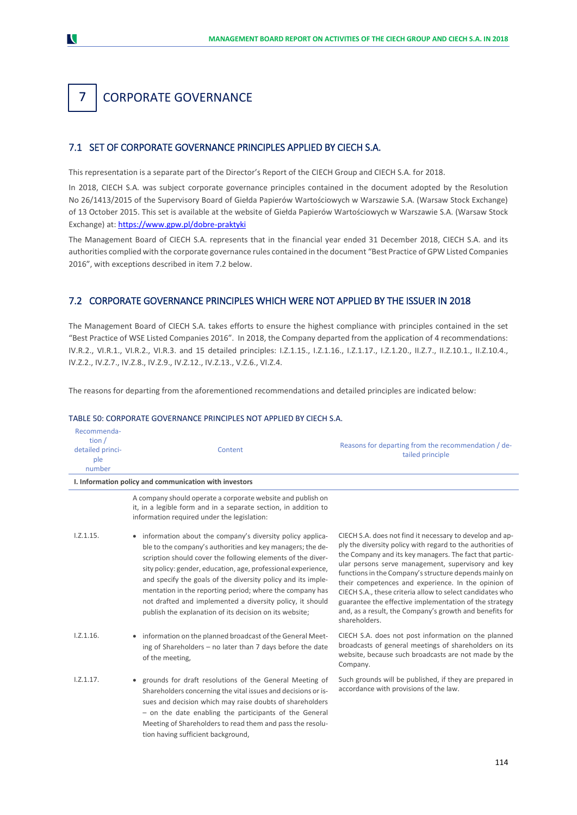## CORPORATE GOVERNANCE 7 1.

## 7.1 SET OF CORPORATE GOVERNANCE PRINCIPLES APPLIED BY CIECH S.A.

This representation is a separate part of the Director's Report of the CIECH Group and CIECH S.A. for 2018.

In 2018, CIECH S.A. was subject corporate governance principles contained in the document adopted by the Resolution No 26/1413/2015 of the Supervisory Board of Giełda Papierów Wartościowych w Warszawie S.A. (Warsaw Stock Exchange) of 13 October 2015. This set is available at the website of Giełda Papierów Wartościowych w Warszawie S.A. (Warsaw Stock Exchange) at:<https://www.gpw.pl/dobre-praktyki>

The Management Board of CIECH S.A. represents that in the financial year ended 31 December 2018, CIECH S.A. and its authorities complied with the corporate governance rules contained in the document "Best Practice of GPW Listed Companies 2016", with exceptions described in item 7.2 below.

## 7.2 CORPORATE GOVERNANCE PRINCIPLES WHICH WERE NOT APPLIED BY THE ISSUER IN 2018

The Management Board of CIECH S.A. takes efforts to ensure the highest compliance with principles contained in the set "Best Practice of WSE Listed Companies 2016". In 2018, the Company departed from the application of 4 recommendations: IV.R.2., VI.R.1., VI.R.2., VI.R.3. and 15 detailed principles: I.Z.1.15., I.Z.1.16., I.Z.1.17., I.Z.1.20., II.Z.7., II.Z.10.1., II.Z.10.4., IV.Z.2., IV.Z.7., IV.Z.8., IV.Z.9., IV.Z.12., IV.Z.13., V.Z.6., VI.Z.4.

The reasons for departing from the aforementioned recommendations and detailed principles are indicated below:

### TABLE 50: CORPORATE GOVERNANCE PRINCIPLES NOT APPLIED BY CIECH S.A.

| Recommenda-<br>tion $/$<br>detailed princi-<br>ple<br>number | Content                                                                                                                                                                                                                                                                                                                                                                                                                                                                                                       | Reasons for departing from the recommendation / de-<br>tailed principle                                                                                                                                                                                                                                                                                                                                                                                                                                                                                     |
|--------------------------------------------------------------|---------------------------------------------------------------------------------------------------------------------------------------------------------------------------------------------------------------------------------------------------------------------------------------------------------------------------------------------------------------------------------------------------------------------------------------------------------------------------------------------------------------|-------------------------------------------------------------------------------------------------------------------------------------------------------------------------------------------------------------------------------------------------------------------------------------------------------------------------------------------------------------------------------------------------------------------------------------------------------------------------------------------------------------------------------------------------------------|
|                                                              | I. Information policy and communication with investors                                                                                                                                                                                                                                                                                                                                                                                                                                                        |                                                                                                                                                                                                                                                                                                                                                                                                                                                                                                                                                             |
|                                                              | A company should operate a corporate website and publish on<br>it, in a legible form and in a separate section, in addition to<br>information required under the legislation:                                                                                                                                                                                                                                                                                                                                 |                                                                                                                                                                                                                                                                                                                                                                                                                                                                                                                                                             |
| 1.2.1.15.                                                    | • information about the company's diversity policy applica-<br>ble to the company's authorities and key managers; the de-<br>scription should cover the following elements of the diver-<br>sity policy: gender, education, age, professional experience,<br>and specify the goals of the diversity policy and its imple-<br>mentation in the reporting period; where the company has<br>not drafted and implemented a diversity policy, it should<br>publish the explanation of its decision on its website; | CIECH S.A. does not find it necessary to develop and ap-<br>ply the diversity policy with regard to the authorities of<br>the Company and its key managers. The fact that partic-<br>ular persons serve management, supervisory and key<br>functions in the Company's structure depends mainly on<br>their competences and experience. In the opinion of<br>CIECH S.A., these criteria allow to select candidates who<br>guarantee the effective implementation of the strategy<br>and, as a result, the Company's growth and benefits for<br>shareholders. |
| 1.2.1.16.                                                    | • information on the planned broadcast of the General Meet-<br>ing of Shareholders - no later than 7 days before the date<br>of the meeting,                                                                                                                                                                                                                                                                                                                                                                  | CIECH S.A. does not post information on the planned<br>broadcasts of general meetings of shareholders on its<br>website, because such broadcasts are not made by the<br>Company.                                                                                                                                                                                                                                                                                                                                                                            |
| $1.2.1.17$ .                                                 | • grounds for draft resolutions of the General Meeting of<br>Shareholders concerning the vital issues and decisions or is-<br>sues and decision which may raise doubts of shareholders<br>- on the date enabling the participants of the General<br>Meeting of Shareholders to read them and pass the resolu-<br>tion having sufficient background,                                                                                                                                                           | Such grounds will be published, if they are prepared in<br>accordance with provisions of the law.                                                                                                                                                                                                                                                                                                                                                                                                                                                           |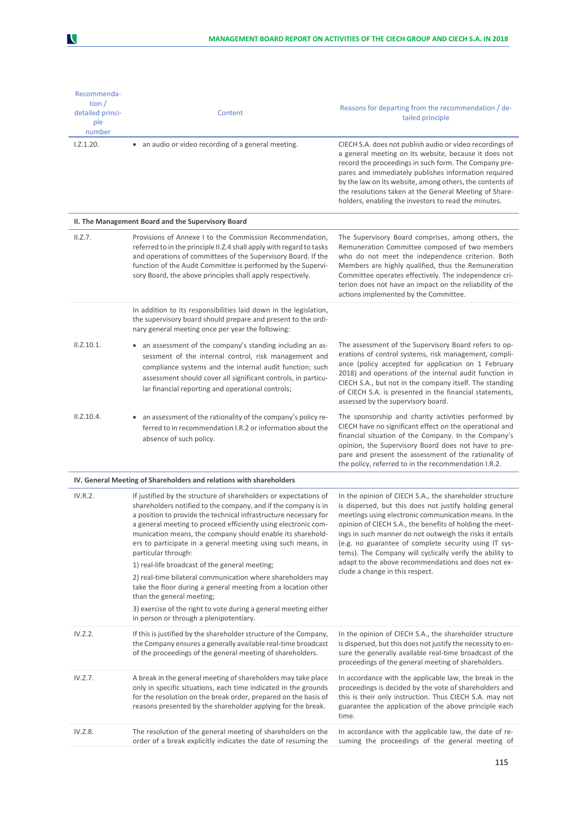| Recommenda-      |                                                                                                                                                                                                                                                                                                                                                                                                                                                                                                                                                                                                                                                                                                                                                             |                                                                                                                                                                                                                                                                                                                                                                                                                                                                                                                    |
|------------------|-------------------------------------------------------------------------------------------------------------------------------------------------------------------------------------------------------------------------------------------------------------------------------------------------------------------------------------------------------------------------------------------------------------------------------------------------------------------------------------------------------------------------------------------------------------------------------------------------------------------------------------------------------------------------------------------------------------------------------------------------------------|--------------------------------------------------------------------------------------------------------------------------------------------------------------------------------------------------------------------------------------------------------------------------------------------------------------------------------------------------------------------------------------------------------------------------------------------------------------------------------------------------------------------|
| tion $/$         |                                                                                                                                                                                                                                                                                                                                                                                                                                                                                                                                                                                                                                                                                                                                                             | Reasons for departing from the recommendation / de-                                                                                                                                                                                                                                                                                                                                                                                                                                                                |
| detailed princi- | Content                                                                                                                                                                                                                                                                                                                                                                                                                                                                                                                                                                                                                                                                                                                                                     | tailed principle                                                                                                                                                                                                                                                                                                                                                                                                                                                                                                   |
| ple<br>number    |                                                                                                                                                                                                                                                                                                                                                                                                                                                                                                                                                                                                                                                                                                                                                             |                                                                                                                                                                                                                                                                                                                                                                                                                                                                                                                    |
| 1.2.1.20.        | • an audio or video recording of a general meeting.                                                                                                                                                                                                                                                                                                                                                                                                                                                                                                                                                                                                                                                                                                         | CIECH S.A. does not publish audio or video recordings of<br>a general meeting on its website, because it does not<br>record the proceedings in such form. The Company pre-<br>pares and immediately publishes information required<br>by the law on its website, among others, the contents of<br>the resolutions taken at the General Meeting of Share-<br>holders, enabling the investors to read the minutes.                                                                                                   |
|                  | II. The Management Board and the Supervisory Board                                                                                                                                                                                                                                                                                                                                                                                                                                                                                                                                                                                                                                                                                                          |                                                                                                                                                                                                                                                                                                                                                                                                                                                                                                                    |
| II.Z.7.          | Provisions of Annexe I to the Commission Recommendation,<br>referred to in the principle II.Z.4 shall apply with regard to tasks<br>and operations of committees of the Supervisory Board. If the<br>function of the Audit Committee is performed by the Supervi-<br>sory Board, the above principles shall apply respectively.                                                                                                                                                                                                                                                                                                                                                                                                                             | The Supervisory Board comprises, among others, the<br>Remuneration Committee composed of two members<br>who do not meet the independence criterion. Both<br>Members are highly qualified, thus the Remuneration<br>Committee operates effectively. The independence cri-<br>terion does not have an impact on the reliability of the<br>actions implemented by the Committee.                                                                                                                                      |
|                  | In addition to its responsibilities laid down in the legislation,<br>the supervisory board should prepare and present to the ordi-<br>nary general meeting once per year the following:                                                                                                                                                                                                                                                                                                                                                                                                                                                                                                                                                                     |                                                                                                                                                                                                                                                                                                                                                                                                                                                                                                                    |
| II.Z.10.1.       | • an assessment of the company's standing including an as-<br>sessment of the internal control, risk management and<br>compliance systems and the internal audit function; such<br>assessment should cover all significant controls, in particu-<br>lar financial reporting and operational controls;                                                                                                                                                                                                                                                                                                                                                                                                                                                       | The assessment of the Supervisory Board refers to op-<br>erations of control systems, risk management, compli-<br>ance (policy accepted for application on 1 February<br>2018) and operations of the internal audit function in<br>CIECH S.A., but not in the company itself. The standing<br>of CIECH S.A. is presented in the financial statements,<br>assessed by the supervisory board.                                                                                                                        |
| II.Z.10.4.       | an assessment of the rationality of the company's policy re-<br>ferred to in recommendation I.R.2 or information about the<br>absence of such policy.                                                                                                                                                                                                                                                                                                                                                                                                                                                                                                                                                                                                       | The sponsorship and charity activities performed by<br>CIECH have no significant effect on the operational and<br>financial situation of the Company. In the Company's<br>opinion, the Supervisory Board does not have to pre-<br>pare and present the assessment of the rationality of<br>the policy, referred to in the recommendation I.R.2.                                                                                                                                                                    |
|                  | IV. General Meeting of Shareholders and relations with shareholders                                                                                                                                                                                                                                                                                                                                                                                                                                                                                                                                                                                                                                                                                         |                                                                                                                                                                                                                                                                                                                                                                                                                                                                                                                    |
| IV.R.2.          | If justified by the structure of shareholders or expectations of<br>shareholders notified to the company, and if the company is in<br>a position to provide the technical infrastructure necessary for<br>a general meeting to proceed efficiently using electronic com-<br>munication means, the company should enable its sharehold-<br>ers to participate in a general meeting using such means, in<br>particular through:<br>1) real-life broadcast of the general meeting;<br>2) real-time bilateral communication where shareholders may<br>take the floor during a general meeting from a location other<br>than the general meeting;<br>3) exercise of the right to vote during a general meeting either<br>in person or through a plenipotentiary. | In the opinion of CIECH S.A., the shareholder structure<br>is dispersed, but this does not justify holding general<br>meetings using electronic communication means. In the<br>opinion of CIECH S.A., the benefits of holding the meet-<br>ings in such manner do not outweigh the risks it entails<br>(e.g. no guarantee of complete security using IT sys-<br>tems). The Company will cyclically verify the ability to<br>adapt to the above recommendations and does not ex-<br>clude a change in this respect. |
| IV.Z.2.          | If this is justified by the shareholder structure of the Company,<br>the Company ensures a generally available real-time broadcast<br>of the proceedings of the general meeting of shareholders.                                                                                                                                                                                                                                                                                                                                                                                                                                                                                                                                                            | In the opinion of CIECH S.A., the shareholder structure<br>is dispersed, but this does not justify the necessity to en-<br>sure the generally available real-time broadcast of the<br>proceedings of the general meeting of shareholders.                                                                                                                                                                                                                                                                          |
| IV.Z.7.          | A break in the general meeting of shareholders may take place<br>only in specific situations, each time indicated in the grounds<br>for the resolution on the break order, prepared on the basis of<br>reasons presented by the shareholder applying for the break.                                                                                                                                                                                                                                                                                                                                                                                                                                                                                         | In accordance with the applicable law, the break in the<br>proceedings is decided by the vote of shareholders and<br>this is their only instruction. Thus CIECH S.A. may not<br>guarantee the application of the above principle each<br>time.                                                                                                                                                                                                                                                                     |
| IV.Z.8.          | The resolution of the general meeting of shareholders on the<br>order of a break explicitly indicates the date of resuming the                                                                                                                                                                                                                                                                                                                                                                                                                                                                                                                                                                                                                              | In accordance with the applicable law, the date of re-<br>suming the proceedings of the general meeting of                                                                                                                                                                                                                                                                                                                                                                                                         |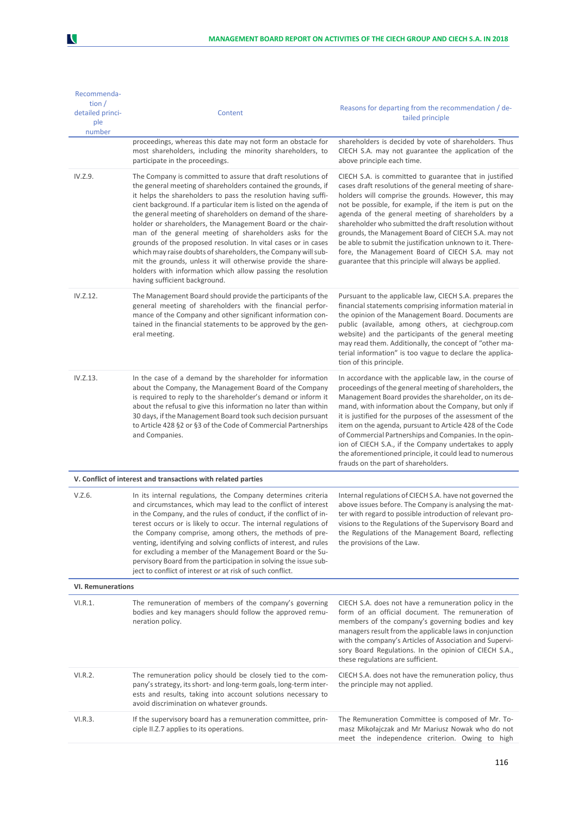| Recommenda-<br>tion $/$<br>detailed princi-<br>ple<br>number | Content                                                                                                                                                                                                                                                                                                                                                                                                                                                                                                                                                                                                                                                                                                                                                         | Reasons for departing from the recommendation / de-<br>tailed principle                                                                                                                                                                                                                                                                                                                                                                                                                                                                                                                |  |  |
|--------------------------------------------------------------|-----------------------------------------------------------------------------------------------------------------------------------------------------------------------------------------------------------------------------------------------------------------------------------------------------------------------------------------------------------------------------------------------------------------------------------------------------------------------------------------------------------------------------------------------------------------------------------------------------------------------------------------------------------------------------------------------------------------------------------------------------------------|----------------------------------------------------------------------------------------------------------------------------------------------------------------------------------------------------------------------------------------------------------------------------------------------------------------------------------------------------------------------------------------------------------------------------------------------------------------------------------------------------------------------------------------------------------------------------------------|--|--|
|                                                              | proceedings, whereas this date may not form an obstacle for<br>most shareholders, including the minority shareholders, to<br>participate in the proceedings.                                                                                                                                                                                                                                                                                                                                                                                                                                                                                                                                                                                                    | shareholders is decided by vote of shareholders. Thus<br>CIECH S.A. may not guarantee the application of the<br>above principle each time.                                                                                                                                                                                                                                                                                                                                                                                                                                             |  |  |
| IV.Z.9.                                                      | The Company is committed to assure that draft resolutions of<br>the general meeting of shareholders contained the grounds, if<br>it helps the shareholders to pass the resolution having suffi-<br>cient background. If a particular item is listed on the agenda of<br>the general meeting of shareholders on demand of the share-<br>holder or shareholders, the Management Board or the chair-<br>man of the general meeting of shareholders asks for the<br>grounds of the proposed resolution. In vital cases or in cases<br>which may raise doubts of shareholders, the Company will sub-<br>mit the grounds, unless it will otherwise provide the share-<br>holders with information which allow passing the resolution<br>having sufficient background. | CIECH S.A. is committed to guarantee that in justified<br>cases draft resolutions of the general meeting of share-<br>holders will comprise the grounds. However, this may<br>not be possible, for example, if the item is put on the<br>agenda of the general meeting of shareholders by a<br>shareholder who submitted the draft resolution without<br>grounds, the Management Board of CIECH S.A. may not<br>be able to submit the justification unknown to it. There-<br>fore, the Management Board of CIECH S.A. may not<br>guarantee that this principle will always be applied. |  |  |
| IV.Z.12.                                                     | The Management Board should provide the participants of the<br>general meeting of shareholders with the financial perfor-<br>mance of the Company and other significant information con-<br>tained in the financial statements to be approved by the gen-<br>eral meeting.                                                                                                                                                                                                                                                                                                                                                                                                                                                                                      | Pursuant to the applicable law, CIECH S.A. prepares the<br>financial statements comprising information material in<br>the opinion of the Management Board. Documents are<br>public (available, among others, at ciechgroup.com<br>website) and the participants of the general meeting<br>may read them. Additionally, the concept of "other ma-<br>terial information" is too vague to declare the applica-<br>tion of this principle.                                                                                                                                                |  |  |
| IV.Z.13.                                                     | In the case of a demand by the shareholder for information<br>about the Company, the Management Board of the Company<br>is required to reply to the shareholder's demand or inform it<br>about the refusal to give this information no later than within<br>30 days, if the Management Board took such decision pursuant<br>to Article 428 §2 or §3 of the Code of Commercial Partnerships<br>and Companies.                                                                                                                                                                                                                                                                                                                                                    | In accordance with the applicable law, in the course of<br>proceedings of the general meeting of shareholders, the<br>Management Board provides the shareholder, on its de-<br>mand, with information about the Company, but only if<br>it is justified for the purposes of the assessment of the<br>item on the agenda, pursuant to Article 428 of the Code<br>of Commercial Partnerships and Companies. In the opin-<br>ion of CIECH S.A., if the Company undertakes to apply<br>the aforementioned principle, it could lead to numerous<br>frauds on the part of shareholders.      |  |  |
|                                                              | V. Conflict of interest and transactions with related parties                                                                                                                                                                                                                                                                                                                                                                                                                                                                                                                                                                                                                                                                                                   |                                                                                                                                                                                                                                                                                                                                                                                                                                                                                                                                                                                        |  |  |
| V.Z.6.                                                       | In its internal regulations, the Company determines criteria<br>and circumstances, which may lead to the conflict of interest<br>in the Company, and the rules of conduct, if the conflict of in-<br>terest occurs or is likely to occur. The internal regulations of<br>the Company comprise, among others, the methods of pre-<br>venting, identifying and solving conflicts of interest, and rules<br>for excluding a member of the Management Board or the Su-<br>pervisory Board from the participation in solving the issue sub-<br>ject to conflict of interest or at risk of such conflict.                                                                                                                                                             | Internal regulations of CIECH S.A. have not governed the<br>above issues before. The Company is analysing the mat-<br>ter with regard to possible introduction of relevant pro-<br>visions to the Regulations of the Supervisory Board and<br>the Regulations of the Management Board, reflecting<br>the provisions of the Law.                                                                                                                                                                                                                                                        |  |  |
| <b>VI. Remunerations</b>                                     |                                                                                                                                                                                                                                                                                                                                                                                                                                                                                                                                                                                                                                                                                                                                                                 |                                                                                                                                                                                                                                                                                                                                                                                                                                                                                                                                                                                        |  |  |
| VI.R.1.                                                      | The remuneration of members of the company's governing<br>bodies and key managers should follow the approved remu-<br>neration policy.                                                                                                                                                                                                                                                                                                                                                                                                                                                                                                                                                                                                                          | CIECH S.A. does not have a remuneration policy in the<br>form of an official document. The remuneration of<br>members of the company's governing bodies and key<br>managers result from the applicable laws in conjunction<br>with the company's Articles of Association and Supervi-<br>sory Board Regulations. In the opinion of CIECH S.A.,<br>these regulations are sufficient.                                                                                                                                                                                                    |  |  |
| VI.R.2.                                                      | The remuneration policy should be closely tied to the com-<br>pany's strategy, its short- and long-term goals, long-term inter-<br>ests and results, taking into account solutions necessary to<br>avoid discrimination on whatever grounds.                                                                                                                                                                                                                                                                                                                                                                                                                                                                                                                    | CIECH S.A. does not have the remuneration policy, thus<br>the principle may not applied.                                                                                                                                                                                                                                                                                                                                                                                                                                                                                               |  |  |
| VI.R.3.                                                      | If the supervisory board has a remuneration committee, prin-<br>ciple II.Z.7 applies to its operations.                                                                                                                                                                                                                                                                                                                                                                                                                                                                                                                                                                                                                                                         | The Remuneration Committee is composed of Mr. To-<br>masz Mikołajczak and Mr Mariusz Nowak who do not<br>meet the independence criterion. Owing to high                                                                                                                                                                                                                                                                                                                                                                                                                                |  |  |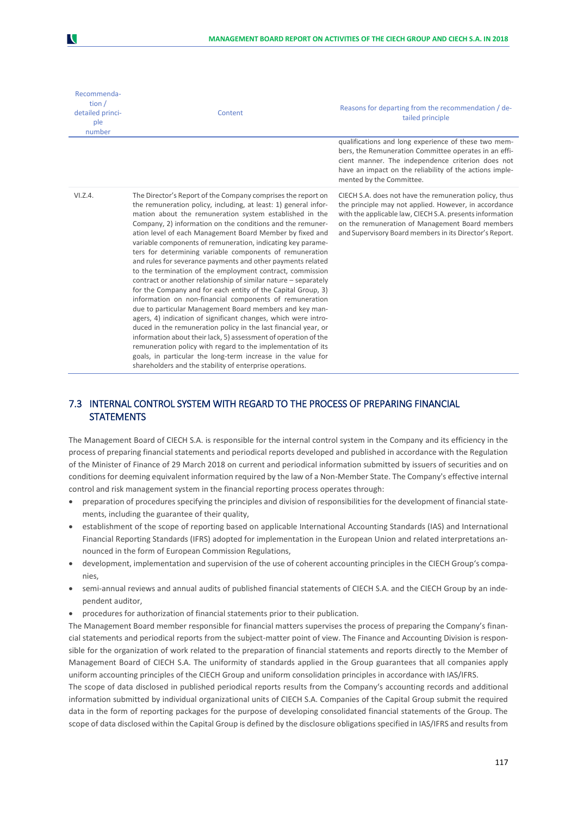| Recommenda-<br>tion $/$<br>detailed princi-<br>ple<br>number | Content                                                                                                                                                                                                                                                                                                                                                                                                                                                                                                                                                                                                                                                                                                                                                                                                                                                                                                                                                                                                                                                                                                                                                                                                                                  | Reasons for departing from the recommendation / de-<br>tailed principle<br>qualifications and long experience of these two mem-                                                                                                                                                           |
|--------------------------------------------------------------|------------------------------------------------------------------------------------------------------------------------------------------------------------------------------------------------------------------------------------------------------------------------------------------------------------------------------------------------------------------------------------------------------------------------------------------------------------------------------------------------------------------------------------------------------------------------------------------------------------------------------------------------------------------------------------------------------------------------------------------------------------------------------------------------------------------------------------------------------------------------------------------------------------------------------------------------------------------------------------------------------------------------------------------------------------------------------------------------------------------------------------------------------------------------------------------------------------------------------------------|-------------------------------------------------------------------------------------------------------------------------------------------------------------------------------------------------------------------------------------------------------------------------------------------|
|                                                              |                                                                                                                                                                                                                                                                                                                                                                                                                                                                                                                                                                                                                                                                                                                                                                                                                                                                                                                                                                                                                                                                                                                                                                                                                                          | bers, the Remuneration Committee operates in an effi-<br>cient manner. The independence criterion does not<br>have an impact on the reliability of the actions imple-<br>mented by the Committee.                                                                                         |
| VI.Z.4.                                                      | The Director's Report of the Company comprises the report on<br>the remuneration policy, including, at least: 1) general infor-<br>mation about the remuneration system established in the<br>Company, 2) information on the conditions and the remuner-<br>ation level of each Management Board Member by fixed and<br>variable components of remuneration, indicating key parame-<br>ters for determining variable components of remuneration<br>and rules for severance payments and other payments related<br>to the termination of the employment contract, commission<br>contract or another relationship of similar nature - separately<br>for the Company and for each entity of the Capital Group, 3)<br>information on non-financial components of remuneration<br>due to particular Management Board members and key man-<br>agers, 4) indication of significant changes, which were intro-<br>duced in the remuneration policy in the last financial year, or<br>information about their lack, 5) assessment of operation of the<br>remuneration policy with regard to the implementation of its<br>goals, in particular the long-term increase in the value for<br>shareholders and the stability of enterprise operations. | CIECH S.A. does not have the remuneration policy, thus<br>the principle may not applied. However, in accordance<br>with the applicable law, CIECH S.A. presents information<br>on the remuneration of Management Board members<br>and Supervisory Board members in its Director's Report. |

# 7.3 INTERNAL CONTROL SYSTEM WITH REGARD TO THE PROCESS OF PREPARING FINANCIAL **STATEMENTS**

The Management Board of CIECH S.A. is responsible for the internal control system in the Company and its efficiency in the process of preparing financial statements and periodical reports developed and published in accordance with the Regulation of the Minister of Finance of 29 March 2018 on current and periodical information submitted by issuers of securities and on conditions for deeming equivalent information required by the law of a Non-Member State. The Company's effective internal control and risk management system in the financial reporting process operates through:

- preparation of procedures specifying the principles and division of responsibilities for the development of financial statements, including the guarantee of their quality,
- establishment of the scope of reporting based on applicable International Accounting Standards (IAS) and International Financial Reporting Standards (IFRS) adopted for implementation in the European Union and related interpretations announced in the form of European Commission Regulations,
- development, implementation and supervision of the use of coherent accounting principles in the CIECH Group's companies,
- semi-annual reviews and annual audits of published financial statements of CIECH S.A. and the CIECH Group by an independent auditor,
- procedures for authorization of financial statements prior to their publication.

The Management Board member responsible for financial matters supervises the process of preparing the Company's financial statements and periodical reports from the subject-matter point of view. The Finance and Accounting Division is responsible for the organization of work related to the preparation of financial statements and reports directly to the Member of Management Board of CIECH S.A. The uniformity of standards applied in the Group guarantees that all companies apply uniform accounting principles of the CIECH Group and uniform consolidation principles in accordance with IAS/IFRS.

The scope of data disclosed in published periodical reports results from the Company's accounting records and additional information submitted by individual organizational units of CIECH S.A. Companies of the Capital Group submit the required data in the form of reporting packages for the purpose of developing consolidated financial statements of the Group. The scope of data disclosed within the Capital Group is defined by the disclosure obligations specified in IAS/IFRS and results from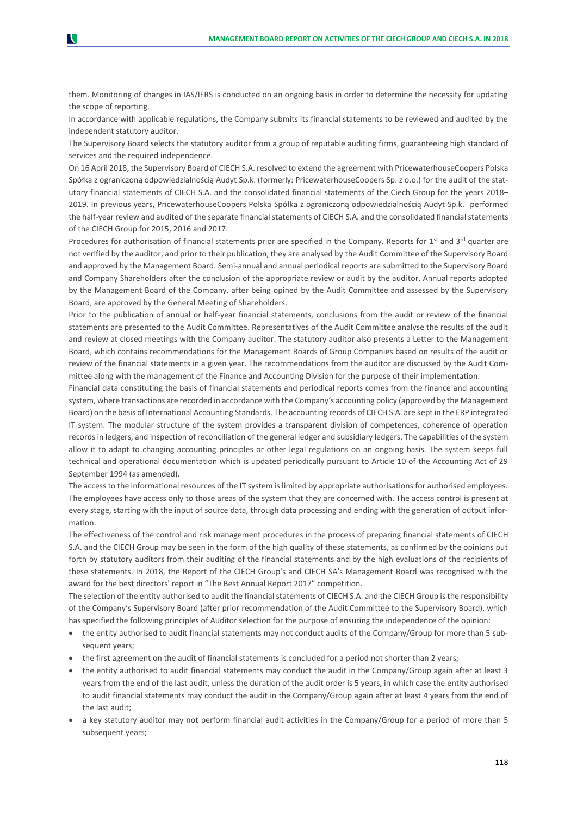them. Monitoring of changes in IAS/IFRS is conducted on an ongoing basis in order to determine the necessity for updating the scope of reporting.

N

In accordance with applicable regulations, the Company submits its financial statements to be reviewed and audited by the independent statutory auditor.

The Supervisory Board selects the statutory auditor from a group of reputable auditing firms, guaranteeing high standard of services and the required independence.

On 16 April 2018, the Supervisory Board of CIECH S.A. resolved to extend the agreement with PricewaterhouseCoopers Polska Spółka z ograniczoną odpowiedzialnością Audyt Sp.k. (formerly: PricewaterhouseCoopers Sp. z o.o.) for the audit of the statutory financial statements of CIECH S.A. and the consolidated financial statements of the Ciech Group for the years 2018– 2019. In previous years, PricewaterhouseCoopers Polska Spółka z ograniczoną odpowiedzialnością Audyt Sp.k. performed the half-year review and audited of the separate financial statements of CIECH S.A. and the consolidated financial statements of the CIECH Group for 2015, 2016 and 2017.

Procedures for authorisation of financial statements prior are specified in the Company. Reports for 1<sup>st</sup> and 3<sup>rd</sup> quarter are not verified by the auditor, and prior to their publication, they are analysed by the Audit Committee of the Supervisory Board and approved by the Management Board. Semi-annual and annual periodical reports are submitted to the Supervisory Board and Company Shareholders after the conclusion of the appropriate review or audit by the auditor. Annual reports adopted by the Management Board of the Company, after being opined by the Audit Committee and assessed by the Supervisory Board, are approved by the General Meeting of Shareholders.

Prior to the publication of annual or half-year financial statements, conclusions from the audit or review of the financial statements are presented to the Audit Committee. Representatives of the Audit Committee analyse the results of the audit and review at closed meetings with the Company auditor. The statutory auditor also presents a Letter to the Management Board, which contains recommendations for the Management Boards of Group Companies based on results of the audit or review of the financial statements in a given year. The recommendations from the auditor are discussed by the Audit Committee along with the management of the Finance and Accounting Division for the purpose of their implementation.

Financial data constituting the basis of financial statements and periodical reports comes from the finance and accounting system, where transactions are recorded in accordance with the Company's accounting policy (approved by the Management Board) on the basis of International Accounting Standards. The accounting records of CIECH S.A. are kept in the ERP integrated IT system. The modular structure of the system provides a transparent division of competences, coherence of operation records in ledgers, and inspection of reconciliation of the general ledger and subsidiary ledgers. The capabilities of the system allow it to adapt to changing accounting principles or other legal regulations on an ongoing basis. The system keeps full technical and operational documentation which is updated periodically pursuant to Article 10 of the Accounting Act of 29 September 1994 (as amended).

The access to the informational resources of the IT system is limited by appropriate authorisations for authorised employees. The employees have access only to those areas of the system that they are concerned with. The access control is present at every stage, starting with the input of source data, through data processing and ending with the generation of output information.

The effectiveness of the control and risk management procedures in the process of preparing financial statements of CIECH S.A. and the CIECH Group may be seen in the form of the high quality of these statements, as confirmed by the opinions put forth by statutory auditors from their auditing of the financial statements and by the high evaluations of the recipients of these statements. In 2018, the Report of the CIECH Group's and CIECH SA's Management Board was recognised with the award for the best directors' report in "The Best Annual Report 2017" competition.

The selection of the entity authorised to audit the financial statements of CIECH S.A. and the CIECH Group is the responsibility of the Company's Supervisory Board (after prior recommendation of the Audit Committee to the Supervisory Board), which has specified the following principles of Auditor selection for the purpose of ensuring the independence of the opinion:

- the entity authorised to audit financial statements may not conduct audits of the Company/Group for more than 5 subsequent years;
- the first agreement on the audit of financial statements is concluded for a period not shorter than 2 years;
- the entity authorised to audit financial statements may conduct the audit in the Company/Group again after at least 3 years from the end of the last audit, unless the duration of the audit order is 5 years, in which case the entity authorised to audit financial statements may conduct the audit in the Company/Group again after at least 4 years from the end of the last audit;
- a key statutory auditor may not perform financial audit activities in the Company/Group for a period of more than 5 subsequent years;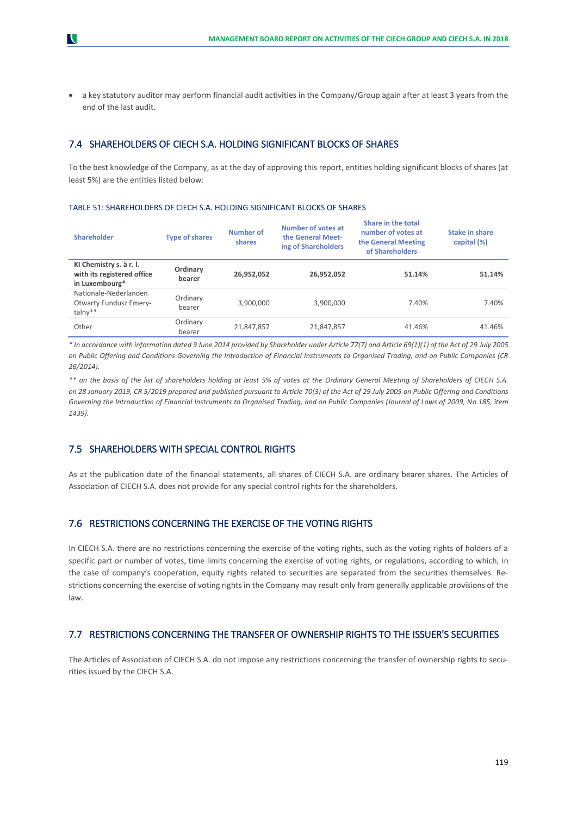• a key statutory auditor may perform financial audit activities in the Company/Group again after at least 3 years from the end of the last audit.

## 7.4 SHAREHOLDERS OF CIECH S.A. HOLDING SIGNIFICANT BLOCKS OF SHARES

To the best knowledge of the Company, as at the day of approving this report, entities holding significant blocks of shares (at least 5%) are the entities listed below:

## TABLE 51: SHAREHOLDERS OF CIECH S.A. HOLDING SIGNIFICANT BLOCKS OF SHARES

| <b>Shareholder</b>                                                      | <b>Type of shares</b> | <b>Number of</b><br>shares | Number of votes at<br>the General Meet-<br>ing of Shareholders | Share in the total<br>number of votes at<br>the General Meeting<br>of Shareholders | <b>Stake in share</b><br>capital (%) |
|-------------------------------------------------------------------------|-----------------------|----------------------------|----------------------------------------------------------------|------------------------------------------------------------------------------------|--------------------------------------|
| KI Chemistry s. à r. l.<br>with its registered office<br>in Luxembourg* | Ordinary<br>bearer    | 26,952,052                 | 26,952,052                                                     | 51.14%                                                                             | 51.14%                               |
| Nationale-Nederlanden<br><b>Otwarty Fundusz Emery-</b><br>$talny**$     | Ordinary<br>bearer    | 3,900,000                  | 3,900,000                                                      | 7.40%                                                                              | 7.40%                                |
| Other                                                                   | Ordinary<br>bearer    | 21,847,857                 | 21,847,857                                                     | 41.46%                                                                             | 41.46%                               |

*\* In accordance with information dated 9 June 2014 provided by Shareholder under Article 77(7) and Article 69(1)(1) of the Act of 29 July 2005 on Public Offering and Conditions Governing the Introduction of Financial Instruments to Organised Trading, and on Public Companies (CR 26/2014).*

*\*\* on the basis of the list of shareholders holding at least 5% of votes at the Ordinary General Meeting of Shareholders of CIECH S.A. on 28 January 2019, CR 5/2019 prepared and published pursuant to Article 70(3) of the Act of 29 July 2005 on Public Offering and Conditions Governing the Introduction of Financial Instruments to Organised Trading, and on Public Companies (Journal of Laws of 2009, No 185, item 1439).*

## 7.5 SHAREHOLDERS WITH SPECIAL CONTROL RIGHTS

As at the publication date of the financial statements, all shares of CIECH S.A. are ordinary bearer shares. The Articles of Association of CIECH S.A. does not provide for any special control rights for the shareholders.

## 7.6 RESTRICTIONS CONCERNING THE EXERCISE OF THE VOTING RIGHTS

In CIECH S.A. there are no restrictions concerning the exercise of the voting rights, such as the voting rights of holders of a specific part or number of votes, time limits concerning the exercise of voting rights, or regulations, according to which, in the case of company's cooperation, equity rights related to securities are separated from the securities themselves. Restrictions concerning the exercise of voting rights in the Company may result only from generally applicable provisions of the law.

## 7.7 RESTRICTIONS CONCERNING THE TRANSFER OF OWNERSHIP RIGHTS TO THE ISSUER'S SECURITIES

The Articles of Association of CIECH S.A. do not impose any restrictions concerning the transfer of ownership rights to securities issued by the CIECH S.A.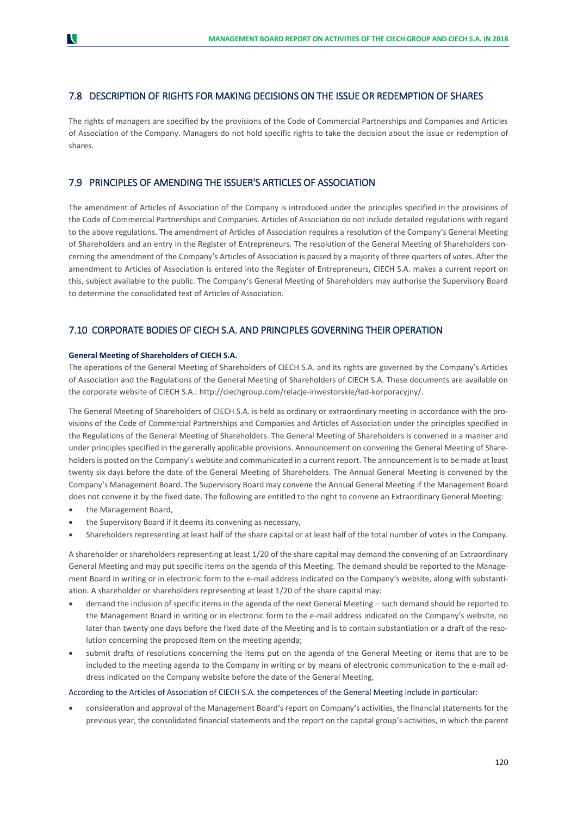## 7.8 DESCRIPTION OF RIGHTS FOR MAKING DECISIONS ON THE ISSUE OR REDEMPTION OF SHARES

The rights of managers are specified by the provisions of the Code of Commercial Partnerships and Companies and Articles of Association of the Company. Managers do not hold specific rights to take the decision about the issue or redemption of shares.

## 7.9 PRINCIPLES OF AMENDING THE ISSUER'S ARTICLES OF ASSOCIATION

The amendment of Articles of Association of the Company is introduced under the principles specified in the provisions of the Code of Commercial Partnerships and Companies. Articles of Association do not include detailed regulations with regard to the above regulations. The amendment of Articles of Association requires a resolution of the Company's General Meeting of Shareholders and an entry in the Register of Entrepreneurs. The resolution of the General Meeting of Shareholders concerning the amendment of the Company's Articles of Association is passed by a majority of three quarters of votes. After the amendment to Articles of Association is entered into the Register of Entrepreneurs, CIECH S.A. makes a current report on this, subject available to the public. The Company's General Meeting of Shareholders may authorise the Supervisory Board to determine the consolidated text of Articles of Association.

## 7.10 CORPORATE BODIES OF CIECH S.A. AND PRINCIPLES GOVERNING THEIR OPERATION

### **General Meeting of Shareholders of CIECH S.A.**

The operations of the General Meeting of Shareholders of CIECH S.A. and its rights are governed by the Company's Articles of Association and the Regulations of the General Meeting of Shareholders of CIECH S.A. These documents are available on the corporate website of CIECH S.A.: http://ciechgroup.com/relacje-inwestorskie/ład-korporacyjny/.

The General Meeting of Shareholders of CIECH S.A. is held as ordinary or extraordinary meeting in accordance with the provisions of the Code of Commercial Partnerships and Companies and Articles of Association under the principles specified in the Regulations of the General Meeting of Shareholders. The General Meeting of Shareholders is convened in a manner and under principles specified in the generally applicable provisions. Announcement on convening the General Meeting of Shareholders is posted on the Company's website and communicated in a current report. The announcement is to be made at least twenty six days before the date of the General Meeting of Shareholders. The Annual General Meeting is convened by the Company's Management Board. The Supervisory Board may convene the Annual General Meeting if the Management Board does not convene it by the fixed date. The following are entitled to the right to convene an Extraordinary General Meeting:

- the Management Board,
- the Supervisory Board if it deems its convening as necessary,
- Shareholders representing at least half of the share capital or at least half of the total number of votes in the Company.

A shareholder or shareholders representing at least 1/20 of the share capital may demand the convening of an Extraordinary General Meeting and may put specific items on the agenda of this Meeting. The demand should be reported to the Management Board in writing or in electronic form to the e-mail address indicated on the Company's website, along with substantiation. A shareholder or shareholders representing at least 1/20 of the share capital may:

- demand the inclusion of specific items in the agenda of the next General Meeting such demand should be reported to the Management Board in writing or in electronic form to the e-mail address indicated on the Company's website, no later than twenty one days before the fixed date of the Meeting and is to contain substantiation or a draft of the resolution concerning the proposed item on the meeting agenda;
- submit drafts of resolutions concerning the items put on the agenda of the General Meeting or items that are to be included to the meeting agenda to the Company in writing or by means of electronic communication to the e-mail address indicated on the Company website before the date of the General Meeting.

### According to the Articles of Association of CIECH S.A. the competences of the General Meeting include in particular:

• consideration and approval of the Management Board's report on Company's activities, the financial statements for the previous year, the consolidated financial statements and the report on the capital group's activities, in which the parent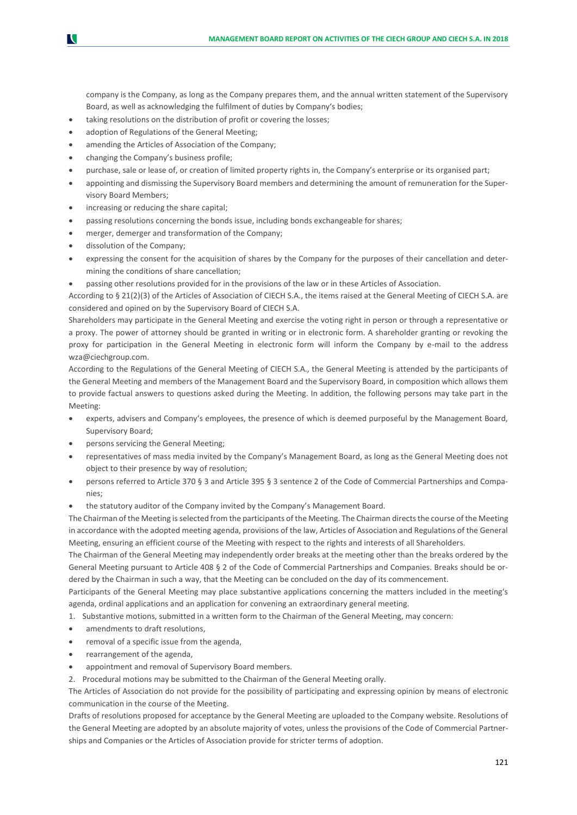company is the Company, as long as the Company prepares them, and the annual written statement of the Supervisory Board, as well as acknowledging the fulfilment of duties by Company's bodies;

- taking resolutions on the distribution of profit or covering the losses;
- adoption of Regulations of the General Meeting;
- amending the Articles of Association of the Company;
- changing the Company's business profile;
- purchase, sale or lease of, or creation of limited property rights in, the Company's enterprise or its organised part;
- appointing and dismissing the Supervisory Board members and determining the amount of remuneration for the Supervisory Board Members;
- increasing or reducing the share capital;
- passing resolutions concerning the bonds issue, including bonds exchangeable for shares;
- merger, demerger and transformation of the Company;
- dissolution of the Company;

N

- expressing the consent for the acquisition of shares by the Company for the purposes of their cancellation and determining the conditions of share cancellation;
- passing other resolutions provided for in the provisions of the law or in these Articles of Association.

According to § 21(2)(3) of the Articles of Association of CIECH S.A., the items raised at the General Meeting of CIECH S.A. are considered and opined on by the Supervisory Board of CIECH S.A.

Shareholders may participate in the General Meeting and exercise the voting right in person or through a representative or a proxy. The power of attorney should be granted in writing or in electronic form. A shareholder granting or revoking the proxy for participation in the General Meeting in electronic form will inform the Company by e-mail to the address [wza@ciechgroup.com.](mailto:wza@ciech.com)

According to the Regulations of the General Meeting of CIECH S.A., the General Meeting is attended by the participants of the General Meeting and members of the Management Board and the Supervisory Board, in composition which allows them to provide factual answers to questions asked during the Meeting. In addition, the following persons may take part in the Meeting:

- experts, advisers and Company's employees, the presence of which is deemed purposeful by the Management Board, Supervisory Board;
- persons servicing the General Meeting;
- representatives of mass media invited by the Company's Management Board, as long as the General Meeting does not object to their presence by way of resolution;
- persons referred to Article 370 § 3 and Article 395 § 3 sentence 2 of the Code of Commercial Partnerships and Companies;
- the statutory auditor of the Company invited by the Company's Management Board.

The Chairman of the Meeting is selected from the participants of the Meeting. The Chairman directs the course of the Meeting in accordance with the adopted meeting agenda, provisions of the law, Articles of Association and Regulations of the General Meeting, ensuring an efficient course of the Meeting with respect to the rights and interests of all Shareholders.

The Chairman of the General Meeting may independently order breaks at the meeting other than the breaks ordered by the General Meeting pursuant to Article 408 § 2 of the Code of Commercial Partnerships and Companies. Breaks should be ordered by the Chairman in such a way, that the Meeting can be concluded on the day of its commencement.

Participants of the General Meeting may place substantive applications concerning the matters included in the meeting's agenda, ordinal applications and an application for convening an extraordinary general meeting.

- 1. Substantive motions, submitted in a written form to the Chairman of the General Meeting, may concern:
- amendments to draft resolutions,
- removal of a specific issue from the agenda,
- rearrangement of the agenda,
- appointment and removal of Supervisory Board members.
- 2. Procedural motions may be submitted to the Chairman of the General Meeting orally.

The Articles of Association do not provide for the possibility of participating and expressing opinion by means of electronic communication in the course of the Meeting.

Drafts of resolutions proposed for acceptance by the General Meeting are uploaded to the Company website. Resolutions of the General Meeting are adopted by an absolute majority of votes, unless the provisions of the Code of Commercial Partnerships and Companies or the Articles of Association provide for stricter terms of adoption.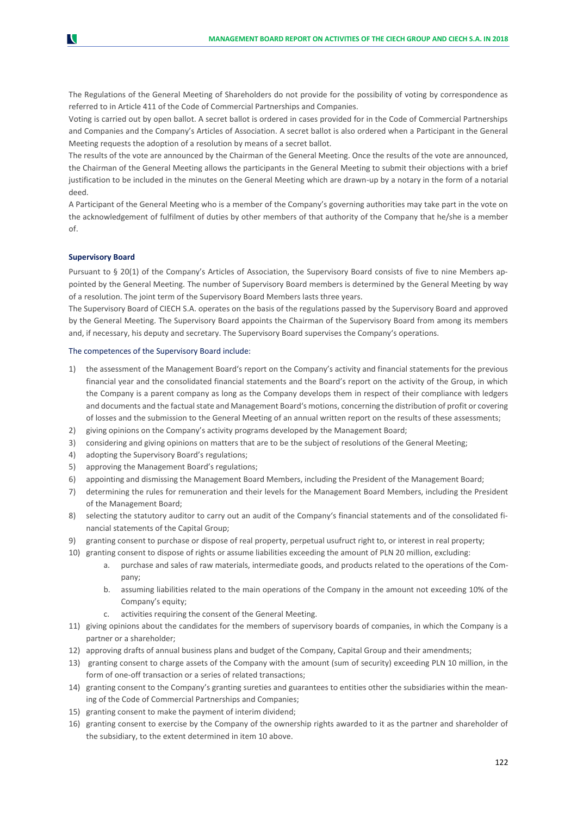The Regulations of the General Meeting of Shareholders do not provide for the possibility of voting by correspondence as referred to in Article 411 of the Code of Commercial Partnerships and Companies.

Voting is carried out by open ballot. A secret ballot is ordered in cases provided for in the Code of Commercial Partnerships and Companies and the Company's Articles of Association. A secret ballot is also ordered when a Participant in the General Meeting requests the adoption of a resolution by means of a secret ballot.

The results of the vote are announced by the Chairman of the General Meeting. Once the results of the vote are announced, the Chairman of the General Meeting allows the participants in the General Meeting to submit their objections with a brief justification to be included in the minutes on the General Meeting which are drawn-up by a notary in the form of a notarial deed.

A Participant of the General Meeting who is a member of the Company's governing authorities may take part in the vote on the acknowledgement of fulfilment of duties by other members of that authority of the Company that he/she is a member of.

#### **Supervisory Board**

Pursuant to § 20(1) of the Company's Articles of Association, the Supervisory Board consists of five to nine Members appointed by the General Meeting. The number of Supervisory Board members is determined by the General Meeting by way of a resolution. The joint term of the Supervisory Board Members lasts three years.

The Supervisory Board of CIECH S.A. operates on the basis of the regulations passed by the Supervisory Board and approved by the General Meeting. The Supervisory Board appoints the Chairman of the Supervisory Board from among its members and, if necessary, his deputy and secretary. The Supervisory Board supervises the Company's operations.

#### The competences of the Supervisory Board include:

- 1) the assessment of the Management Board's report on the Company's activity and financial statements for the previous financial year and the consolidated financial statements and the Board's report on the activity of the Group, in which the Company is a parent company as long as the Company develops them in respect of their compliance with ledgers and documents and the factual state and Management Board's motions, concerning the distribution of profit or covering of losses and the submission to the General Meeting of an annual written report on the results of these assessments;
- 2) giving opinions on the Company's activity programs developed by the Management Board;
- 3) considering and giving opinions on matters that are to be the subject of resolutions of the General Meeting;
- 4) adopting the Supervisory Board's regulations;
- 5) approving the Management Board's regulations;
- 6) appointing and dismissing the Management Board Members, including the President of the Management Board;
- 7) determining the rules for remuneration and their levels for the Management Board Members, including the President of the Management Board;
- 8) selecting the statutory auditor to carry out an audit of the Company's financial statements and of the consolidated financial statements of the Capital Group;
- 9) granting consent to purchase or dispose of real property, perpetual usufruct right to, or interest in real property;
- 10) granting consent to dispose of rights or assume liabilities exceeding the amount of PLN 20 million, excluding:
	- a. purchase and sales of raw materials, intermediate goods, and products related to the operations of the Company;
	- b. assuming liabilities related to the main operations of the Company in the amount not exceeding 10% of the Company's equity;
	- c. activities requiring the consent of the General Meeting.
- 11) giving opinions about the candidates for the members of supervisory boards of companies, in which the Company is a partner or a shareholder;
- 12) approving drafts of annual business plans and budget of the Company, Capital Group and their amendments;
- 13) granting consent to charge assets of the Company with the amount (sum of security) exceeding PLN 10 million, in the form of one-off transaction or a series of related transactions;
- 14) granting consent to the Company's granting sureties and guarantees to entities other the subsidiaries within the meaning of the Code of Commercial Partnerships and Companies;
- 15) granting consent to make the payment of interim dividend;
- 16) granting consent to exercise by the Company of the ownership rights awarded to it as the partner and shareholder of the subsidiary, to the extent determined in item 10 above.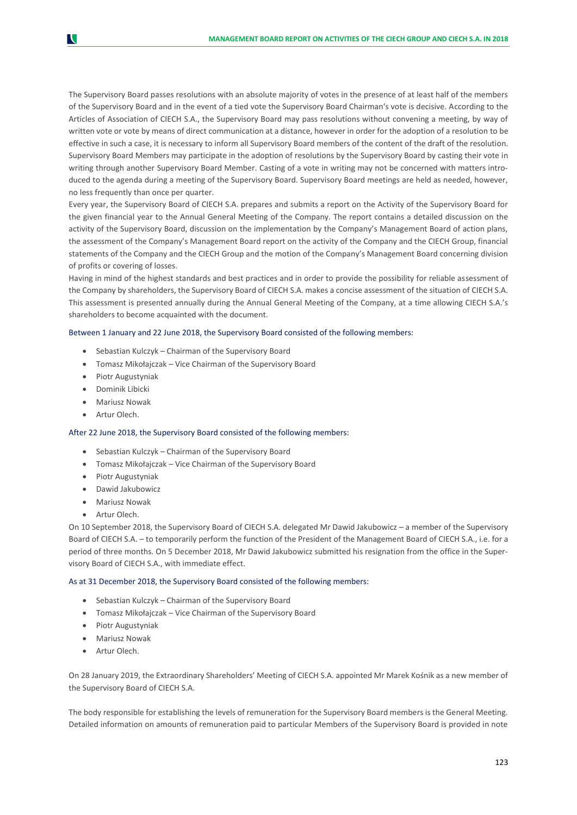The Supervisory Board passes resolutions with an absolute majority of votes in the presence of at least half of the members of the Supervisory Board and in the event of a tied vote the Supervisory Board Chairman's vote is decisive. According to the Articles of Association of CIECH S.A., the Supervisory Board may pass resolutions without convening a meeting, by way of written vote or vote by means of direct communication at a distance, however in order for the adoption of a resolution to be effective in such a case, it is necessary to inform all Supervisory Board members of the content of the draft of the resolution. Supervisory Board Members may participate in the adoption of resolutions by the Supervisory Board by casting their vote in writing through another Supervisory Board Member. Casting of a vote in writing may not be concerned with matters introduced to the agenda during a meeting of the Supervisory Board. Supervisory Board meetings are held as needed, however, no less frequently than once per quarter.

Every year, the Supervisory Board of CIECH S.A. prepares and submits a report on the Activity of the Supervisory Board for the given financial year to the Annual General Meeting of the Company. The report contains a detailed discussion on the activity of the Supervisory Board, discussion on the implementation by the Company's Management Board of action plans, the assessment of the Company's Management Board report on the activity of the Company and the CIECH Group, financial statements of the Company and the CIECH Group and the motion of the Company's Management Board concerning division of profits or covering of losses.

Having in mind of the highest standards and best practices and in order to provide the possibility for reliable assessment of the Company by shareholders, the Supervisory Board of CIECH S.A. makes a concise assessment of the situation of CIECH S.A. This assessment is presented annually during the Annual General Meeting of the Company, at a time allowing CIECH S.A.'s shareholders to become acquainted with the document.

### Between 1 January and 22 June 2018, the Supervisory Board consisted of the following members:

- Sebastian Kulczyk Chairman of the Supervisory Board
- Tomasz Mikołajczak Vice Chairman of the Supervisory Board
- Piotr Augustyniak
- Dominik Libicki
- Mariusz Nowak
- Artur Olech.

N

## After 22 June 2018, the Supervisory Board consisted of the following members:

- Sebastian Kulczyk Chairman of the Supervisory Board
- Tomasz Mikołajczak Vice Chairman of the Supervisory Board
- Piotr Augustyniak
- Dawid Jakubowicz
- Mariusz Nowak
- Artur Olech.

On 10 September 2018, the Supervisory Board of CIECH S.A. delegated Mr Dawid Jakubowicz – a member of the Supervisory Board of CIECH S.A. – to temporarily perform the function of the President of the Management Board of CIECH S.A., i.e. for a period of three months. On 5 December 2018, Mr Dawid Jakubowicz submitted his resignation from the office in the Supervisory Board of CIECH S.A., with immediate effect.

## As at 31 December 2018, the Supervisory Board consisted of the following members:

- Sebastian Kulczyk Chairman of the Supervisory Board
- Tomasz Mikołajczak Vice Chairman of the Supervisory Board
- Piotr Augustyniak
- Mariusz Nowak
- Artur Olech.

On 28 January 2019, the Extraordinary Shareholders' Meeting of CIECH S.A. appointed Mr Marek Kośnik as a new member of the Supervisory Board of CIECH S.A.

The body responsible for establishing the levels of remuneration for the Supervisory Board members is the General Meeting. Detailed information on amounts of remuneration paid to particular Members of the Supervisory Board is provided in note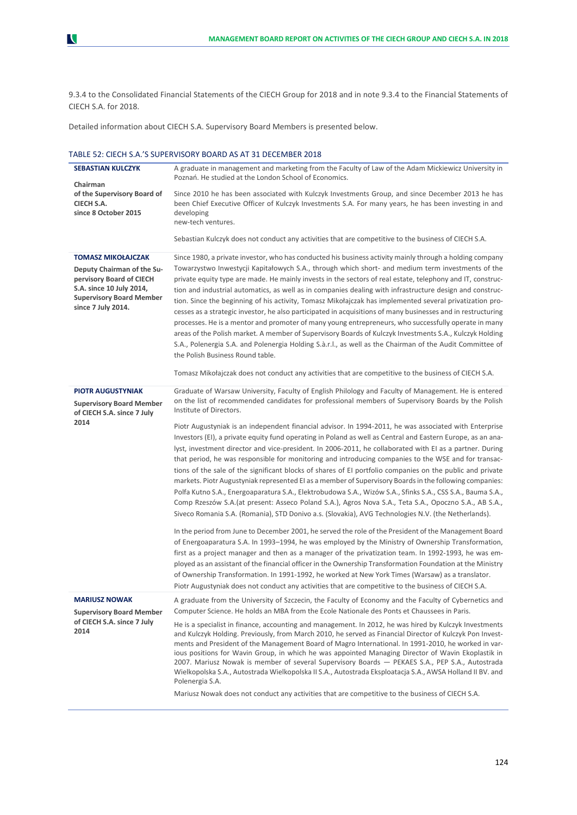9.3.4 to the Consolidated Financial Statements of the CIECH Group for 2018 and in note 9.3.4 to the Financial Statements of CIECH S.A. for 2018.

Detailed information about CIECH S.A. Supervisory Board Members is presented below.

### TABLE 52: CIECH S.A.'S SUPERVISORY BOARD AS AT 31 DECEMBER 2018

| <b>SEBASTIAN KULCZYK</b><br>Chairman                                                                                                                                     | A graduate in management and marketing from the Faculty of Law of the Adam Mickiewicz University in<br>Poznań. He studied at the London School of Economics.                                                                                                                                                                                                                                                                                                                                                                                                                                                                                                                                                                                                                                                                                                                                                                                                                                                                                                                                                                                                                                                                                                                                                                                                                                                                                                                                                                                                                                                                                                                                                                                                                                                                                                                               |
|--------------------------------------------------------------------------------------------------------------------------------------------------------------------------|--------------------------------------------------------------------------------------------------------------------------------------------------------------------------------------------------------------------------------------------------------------------------------------------------------------------------------------------------------------------------------------------------------------------------------------------------------------------------------------------------------------------------------------------------------------------------------------------------------------------------------------------------------------------------------------------------------------------------------------------------------------------------------------------------------------------------------------------------------------------------------------------------------------------------------------------------------------------------------------------------------------------------------------------------------------------------------------------------------------------------------------------------------------------------------------------------------------------------------------------------------------------------------------------------------------------------------------------------------------------------------------------------------------------------------------------------------------------------------------------------------------------------------------------------------------------------------------------------------------------------------------------------------------------------------------------------------------------------------------------------------------------------------------------------------------------------------------------------------------------------------------------|
| of the Supervisory Board of<br>CIECH S.A.<br>since 8 October 2015                                                                                                        | Since 2010 he has been associated with Kulczyk Investments Group, and since December 2013 he has<br>been Chief Executive Officer of Kulczyk Investments S.A. For many years, he has been investing in and<br>developing<br>new-tech ventures.                                                                                                                                                                                                                                                                                                                                                                                                                                                                                                                                                                                                                                                                                                                                                                                                                                                                                                                                                                                                                                                                                                                                                                                                                                                                                                                                                                                                                                                                                                                                                                                                                                              |
|                                                                                                                                                                          | Sebastian Kulczyk does not conduct any activities that are competitive to the business of CIECH S.A.                                                                                                                                                                                                                                                                                                                                                                                                                                                                                                                                                                                                                                                                                                                                                                                                                                                                                                                                                                                                                                                                                                                                                                                                                                                                                                                                                                                                                                                                                                                                                                                                                                                                                                                                                                                       |
| <b>TOMASZ MIKOŁAJCZAK</b><br>Deputy Chairman of the Su-<br>pervisory Board of CIECH<br>S.A. since 10 July 2014,<br><b>Supervisory Board Member</b><br>since 7 July 2014. | Since 1980, a private investor, who has conducted his business activity mainly through a holding company<br>Towarzystwo Inwestycji Kapitałowych S.A., through which short- and medium term investments of the<br>private equity type are made. He mainly invests in the sectors of real estate, telephony and IT, construc-<br>tion and industrial automatics, as well as in companies dealing with infrastructure design and construc-<br>tion. Since the beginning of his activity, Tomasz Mikołajczak has implemented several privatization pro-<br>cesses as a strategic investor, he also participated in acquisitions of many businesses and in restructuring<br>processes. He is a mentor and promoter of many young entrepreneurs, who successfully operate in many<br>areas of the Polish market. A member of Supervisory Boards of Kulczyk Investments S.A., Kulczyk Holding<br>S.A., Polenergia S.A. and Polenergia Holding S.à.r.l., as well as the Chairman of the Audit Committee of<br>the Polish Business Round table.<br>Tomasz Mikołajczak does not conduct any activities that are competitive to the business of CIECH S.A.                                                                                                                                                                                                                                                                                                                                                                                                                                                                                                                                                                                                                                                                                                                                            |
|                                                                                                                                                                          |                                                                                                                                                                                                                                                                                                                                                                                                                                                                                                                                                                                                                                                                                                                                                                                                                                                                                                                                                                                                                                                                                                                                                                                                                                                                                                                                                                                                                                                                                                                                                                                                                                                                                                                                                                                                                                                                                            |
| <b>PIOTR AUGUSTYNIAK</b><br><b>Supervisory Board Member</b><br>of CIECH S.A. since 7 July<br>2014                                                                        | Graduate of Warsaw University, Faculty of English Philology and Faculty of Management. He is entered<br>on the list of recommended candidates for professional members of Supervisory Boards by the Polish<br>Institute of Directors.<br>Piotr Augustyniak is an independent financial advisor. In 1994-2011, he was associated with Enterprise<br>Investors (EI), a private equity fund operating in Poland as well as Central and Eastern Europe, as an ana-<br>lyst, investment director and vice-president. In 2006-2011, he collaborated with EI as a partner. During<br>that period, he was responsible for monitoring and introducing companies to the WSE and for transac-<br>tions of the sale of the significant blocks of shares of EI portfolio companies on the public and private<br>markets. Piotr Augustyniak represented EI as a member of Supervisory Boards in the following companies:<br>Polfa Kutno S.A., Energoaparatura S.A., Elektrobudowa S.A., Wizów S.A., Sfinks S.A., CSS S.A., Bauma S.A.,<br>Comp Rzeszów S.A. (at present: Asseco Poland S.A.), Agros Nova S.A., Teta S.A., Opoczno S.A., AB S.A.,<br>Siveco Romania S.A. (Romania), STD Donivo a.s. (Slovakia), AVG Technologies N.V. (the Netherlands).<br>In the period from June to December 2001, he served the role of the President of the Management Board<br>of Energoaparatura S.A. In 1993-1994, he was employed by the Ministry of Ownership Transformation,<br>first as a project manager and then as a manager of the privatization team. In 1992-1993, he was em-<br>ployed as an assistant of the financial officer in the Ownership Transformation Foundation at the Ministry<br>of Ownership Transformation. In 1991-1992, he worked at New York Times (Warsaw) as a translator.<br>Piotr Augustyniak does not conduct any activities that are competitive to the business of CIECH S.A. |
| <b>MARIUSZ NOWAK</b><br><b>Supervisory Board Member</b><br>of CIECH S.A. since 7 July<br>2014                                                                            | A graduate from the University of Szczecin, the Faculty of Economy and the Faculty of Cybernetics and<br>Computer Science. He holds an MBA from the Ecole Nationale des Ponts et Chaussees in Paris.<br>He is a specialist in finance, accounting and management. In 2012, he was hired by Kulczyk Investments<br>and Kulczyk Holding. Previously, from March 2010, he served as Financial Director of Kulczyk Pon Invest-<br>ments and President of the Management Board of Magro International. In 1991-2010, he worked in var-<br>ious positions for Wavin Group, in which he was appointed Managing Director of Wavin Ekoplastik in<br>2007. Mariusz Nowak is member of several Supervisory Boards - PEKAES S.A., PEP S.A., Autostrada<br>Wielkopolska S.A., Autostrada Wielkopolska II S.A., Autostrada Eksploatacja S.A., AWSA Holland II BV. and<br>Polenergia S.A.<br>Mariusz Nowak does not conduct any activities that are competitive to the business of CIECH S.A.                                                                                                                                                                                                                                                                                                                                                                                                                                                                                                                                                                                                                                                                                                                                                                                                                                                                                                             |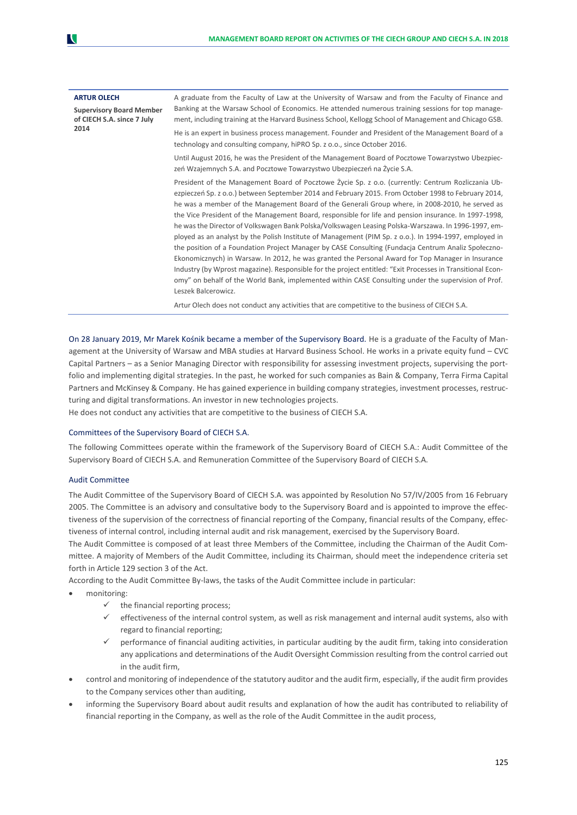| <b>ARTUR OLECH</b><br><b>Supervisory Board Member</b><br>of CIECH S.A. since 7 July | A graduate from the Faculty of Law at the University of Warsaw and from the Faculty of Finance and<br>Banking at the Warsaw School of Economics. He attended numerous training sessions for top manage-<br>ment, including training at the Harvard Business School, Kellogg School of Management and Chicago GSB.                                                                                                                                                                                                                                                                                                                                                                                                                                                                                                                                                                                                                                                                                                                                                                              |
|-------------------------------------------------------------------------------------|------------------------------------------------------------------------------------------------------------------------------------------------------------------------------------------------------------------------------------------------------------------------------------------------------------------------------------------------------------------------------------------------------------------------------------------------------------------------------------------------------------------------------------------------------------------------------------------------------------------------------------------------------------------------------------------------------------------------------------------------------------------------------------------------------------------------------------------------------------------------------------------------------------------------------------------------------------------------------------------------------------------------------------------------------------------------------------------------|
| 2014                                                                                | He is an expert in business process management. Founder and President of the Management Board of a<br>technology and consulting company, hiPRO Sp. z o.o., since October 2016.                                                                                                                                                                                                                                                                                                                                                                                                                                                                                                                                                                                                                                                                                                                                                                                                                                                                                                                 |
|                                                                                     | Until August 2016, he was the President of the Management Board of Pocztowe Towarzystwo Ubezpiec-<br>zeń Wzajemnych S.A. and Pocztowe Towarzystwo Ubezpieczeń na Życie S.A.                                                                                                                                                                                                                                                                                                                                                                                                                                                                                                                                                                                                                                                                                                                                                                                                                                                                                                                    |
|                                                                                     | President of the Management Board of Pocztowe Życie Sp. z o.o. (currently: Centrum Rozliczania Ub-<br>ezpieczeń Sp. z o.o.) between September 2014 and February 2015. From October 1998 to February 2014,<br>he was a member of the Management Board of the Generali Group where, in 2008-2010, he served as<br>the Vice President of the Management Board, responsible for life and pension insurance. In 1997-1998,<br>he was the Director of Volkswagen Bank Polska/Volkswagen Leasing Polska-Warszawa. In 1996-1997, em-<br>ployed as an analyst by the Polish Institute of Management (PIM Sp. z o.o.). In 1994-1997, employed in<br>the position of a Foundation Project Manager by CASE Consulting (Fundacja Centrum Analiz Społeczno-<br>Ekonomicznych) in Warsaw. In 2012, he was granted the Personal Award for Top Manager in Insurance<br>Industry (by Wprost magazine). Responsible for the project entitled: "Exit Processes in Transitional Econ-<br>omy" on behalf of the World Bank, implemented within CASE Consulting under the supervision of Prof.<br>Leszek Balcerowicz. |
|                                                                                     | Artur Olech does not conduct any activities that are competitive to the business of CIECH S.A.                                                                                                                                                                                                                                                                                                                                                                                                                                                                                                                                                                                                                                                                                                                                                                                                                                                                                                                                                                                                 |

On 28 January 2019, Mr Marek Kośnik became a member of the Supervisory Board. He is a graduate of the Faculty of Management at the University of Warsaw and MBA studies at Harvard Business School. He works in a private equity fund – CVC Capital Partners – as a Senior Managing Director with responsibility for assessing investment projects, supervising the portfolio and implementing digital strategies. In the past, he worked for such companies as Bain & Company, Terra Firma Capital Partners and McKinsey & Company. He has gained experience in building company strategies, investment processes, restructuring and digital transformations. An investor in new technologies projects.

He does not conduct any activities that are competitive to the business of CIECH S.A.

### Committees of the Supervisory Board of CIECH S.A.

The following Committees operate within the framework of the Supervisory Board of CIECH S.A.: Audit Committee of the Supervisory Board of CIECH S.A. and Remuneration Committee of the Supervisory Board of CIECH S.A.

#### Audit Committee

The Audit Committee of the Supervisory Board of CIECH S.A. was appointed by Resolution No 57/IV/2005 from 16 February 2005. The Committee is an advisory and consultative body to the Supervisory Board and is appointed to improve the effectiveness of the supervision of the correctness of financial reporting of the Company, financial results of the Company, effectiveness of internal control, including internal audit and risk management, exercised by the Supervisory Board.

The Audit Committee is composed of at least three Members of the Committee, including the Chairman of the Audit Committee. A majority of Members of the Audit Committee, including its Chairman, should meet the independence criteria set forth in Article 129 section 3 of the Act.

According to the Audit Committee By-laws, the tasks of the Audit Committee include in particular:

- monitoring:
	- $\checkmark$  the financial reporting process;
	- ✓ effectiveness of the internal control system, as well as risk management and internal audit systems, also with regard to financial reporting;
	- $\checkmark$  performance of financial auditing activities, in particular auditing by the audit firm, taking into consideration any applications and determinations of the Audit Oversight Commission resulting from the control carried out in the audit firm,
- control and monitoring of independence of the statutory auditor and the audit firm, especially, if the audit firm provides to the Company services other than auditing,
- informing the Supervisory Board about audit results and explanation of how the audit has contributed to reliability of financial reporting in the Company, as well as the role of the Audit Committee in the audit process,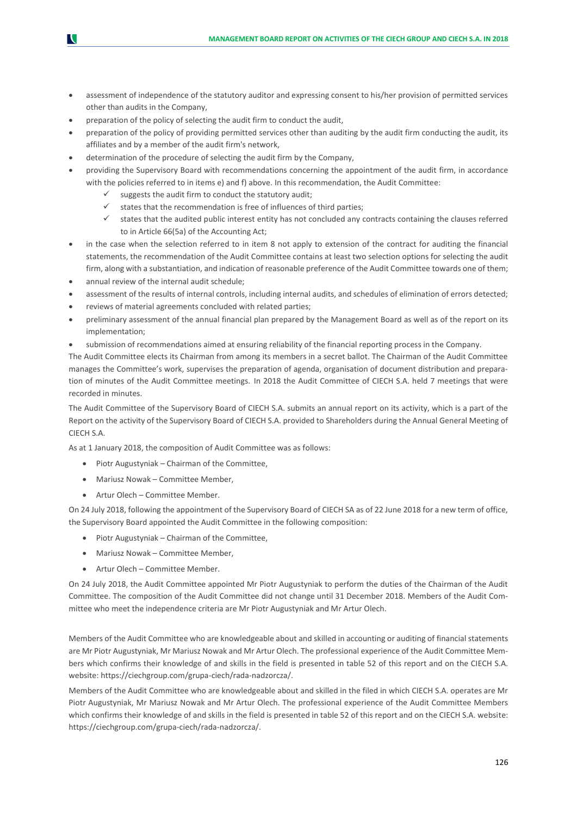- assessment of independence of the statutory auditor and expressing consent to his/her provision of permitted services other than audits in the Company,
- preparation of the policy of selecting the audit firm to conduct the audit,
- preparation of the policy of providing permitted services other than auditing by the audit firm conducting the audit, its affiliates and by a member of the audit firm's network,
- determination of the procedure of selecting the audit firm by the Company,
- providing the Supervisory Board with recommendations concerning the appointment of the audit firm, in accordance with the policies referred to in items e) and f) above. In this recommendation, the Audit Committee:
	- suggests the audit firm to conduct the statutory audit;
	- states that the recommendation is free of influences of third parties;
	- $\checkmark$  states that the audited public interest entity has not concluded any contracts containing the clauses referred to in Article 66(5a) of the Accounting Act;
- in the case when the selection referred to in item 8 not apply to extension of the contract for auditing the financial statements, the recommendation of the Audit Committee contains at least two selection options for selecting the audit firm, along with a substantiation, and indication of reasonable preference of the Audit Committee towards one of them;
- annual review of the internal audit schedule;
- assessment of the results of internal controls, including internal audits, and schedules of elimination of errors detected;
- reviews of material agreements concluded with related parties;
- preliminary assessment of the annual financial plan prepared by the Management Board as well as of the report on its implementation;
- submission of recommendations aimed at ensuring reliability of the financial reporting process in the Company.

The Audit Committee elects its Chairman from among its members in a secret ballot. The Chairman of the Audit Committee manages the Committee's work, supervises the preparation of agenda, organisation of document distribution and preparation of minutes of the Audit Committee meetings. In 2018 the Audit Committee of CIECH S.A. held 7 meetings that were recorded in minutes.

The Audit Committee of the Supervisory Board of CIECH S.A. submits an annual report on its activity, which is a part of the Report on the activity of the Supervisory Board of CIECH S.A. provided to Shareholders during the Annual General Meeting of CIECH S.A.

As at 1 January 2018, the composition of Audit Committee was as follows:

- Piotr Augustyniak Chairman of the Committee,
- Mariusz Nowak Committee Member,
- Artur Olech Committee Member.

On 24 July 2018, following the appointment of the Supervisory Board of CIECH SA as of 22 June 2018 for a new term of office, the Supervisory Board appointed the Audit Committee in the following composition:

- Piotr Augustyniak Chairman of the Committee,
- Mariusz Nowak Committee Member,
- Artur Olech Committee Member.

On 24 July 2018, the Audit Committee appointed Mr Piotr Augustyniak to perform the duties of the Chairman of the Audit Committee. The composition of the Audit Committee did not change until 31 December 2018. Members of the Audit Committee who meet the independence criteria are Mr Piotr Augustyniak and Mr Artur Olech.

Members of the Audit Committee who are knowledgeable about and skilled in accounting or auditing of financial statements are Mr Piotr Augustyniak, Mr Mariusz Nowak and Mr Artur Olech. The professional experience of the Audit Committee Members which confirms their knowledge of and skills in the field is presented in table 52 of this report and on the CIECH S.A. website: https://ciechgroup.com/grupa-ciech/rada-nadzorcza/.

Members of the Audit Committee who are knowledgeable about and skilled in the filed in which CIECH S.A. operates are Mr Piotr Augustyniak, Mr Mariusz Nowak and Mr Artur Olech. The professional experience of the Audit Committee Members which confirms their knowledge of and skills in the field is presented in table 52 of this report and on the CIECH S.A. website: https://ciechgroup.com/grupa-ciech/rada-nadzorcza/.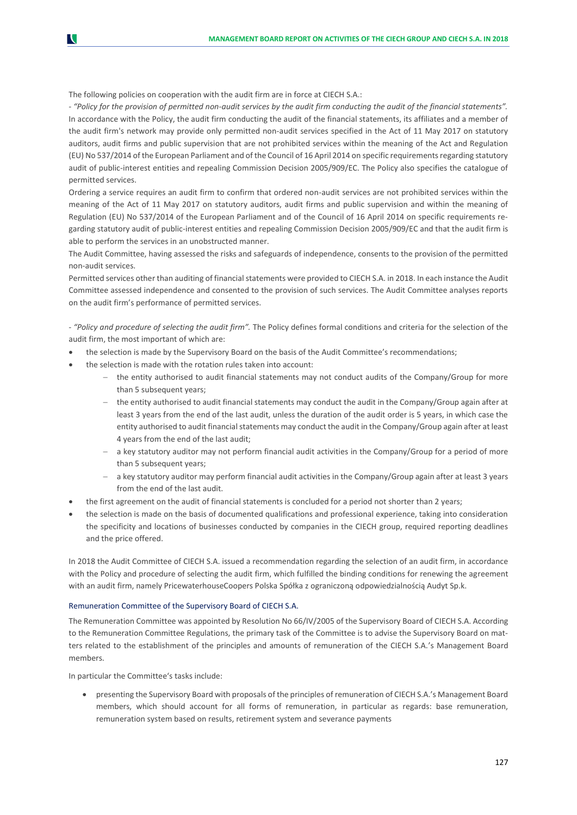The following policies on cooperation with the audit firm are in force at CIECH S.A.:

N

*- "Policy for the provision of permitted non-audit services by the audit firm conducting the audit of the financial statements".* In accordance with the Policy, the audit firm conducting the audit of the financial statements, its affiliates and a member of the audit firm's network may provide only permitted non-audit services specified in the Act of 11 May 2017 on statutory auditors, audit firms and public supervision that are not prohibited services within the meaning of the Act and Regulation (EU) No 537/2014 of the European Parliament and of the Council of 16 April 2014 on specific requirements regarding statutory audit of public-interest entities and repealing Commission Decision 2005/909/EC. The Policy also specifies the catalogue of permitted services.

Ordering a service requires an audit firm to confirm that ordered non-audit services are not prohibited services within the meaning of the Act of 11 May 2017 on statutory auditors, audit firms and public supervision and within the meaning of Regulation (EU) No 537/2014 of the European Parliament and of the Council of 16 April 2014 on specific requirements regarding statutory audit of public-interest entities and repealing Commission Decision 2005/909/EC and that the audit firm is able to perform the services in an unobstructed manner.

The Audit Committee, having assessed the risks and safeguards of independence, consents to the provision of the permitted non-audit services.

Permitted services other than auditing of financial statements were provided to CIECH S.A. in 2018. In each instance the Audit Committee assessed independence and consented to the provision of such services. The Audit Committee analyses reports on the audit firm's performance of permitted services.

*- "Policy and procedure of selecting the audit firm".* The Policy defines formal conditions and criteria for the selection of the audit firm, the most important of which are:

- the selection is made by the Supervisory Board on the basis of the Audit Committee's recommendations;
- the selection is made with the rotation rules taken into account:
	- − the entity authorised to audit financial statements may not conduct audits of the Company/Group for more than 5 subsequent years;
	- the entity authorised to audit financial statements may conduct the audit in the Company/Group again after at least 3 years from the end of the last audit, unless the duration of the audit order is 5 years, in which case the entity authorised to audit financial statements may conduct the audit in the Company/Group again after at least 4 years from the end of the last audit;
	- − a key statutory auditor may not perform financial audit activities in the Company/Group for a period of more than 5 subsequent years;
	- a key statutory auditor may perform financial audit activities in the Company/Group again after at least 3 years from the end of the last audit.
- the first agreement on the audit of financial statements is concluded for a period not shorter than 2 years;
- the selection is made on the basis of documented qualifications and professional experience, taking into consideration the specificity and locations of businesses conducted by companies in the CIECH group, required reporting deadlines and the price offered.

In 2018 the Audit Committee of CIECH S.A. issued a recommendation regarding the selection of an audit firm, in accordance with the Policy and procedure of selecting the audit firm, which fulfilled the binding conditions for renewing the agreement with an audit firm, namely PricewaterhouseCoopers Polska Spółka z ograniczoną odpowiedzialnością Audyt Sp.k.

#### Remuneration Committee of the Supervisory Board of CIECH S.A.

The Remuneration Committee was appointed by Resolution No 66/IV/2005 of the Supervisory Board of CIECH S.A. According to the Remuneration Committee Regulations, the primary task of the Committee is to advise the Supervisory Board on matters related to the establishment of the principles and amounts of remuneration of the CIECH S.A.'s Management Board members.

In particular the Committee's tasks include:

• presenting the Supervisory Board with proposals of the principles of remuneration of CIECH S.A.'s Management Board members, which should account for all forms of remuneration, in particular as regards: base remuneration, remuneration system based on results, retirement system and severance payments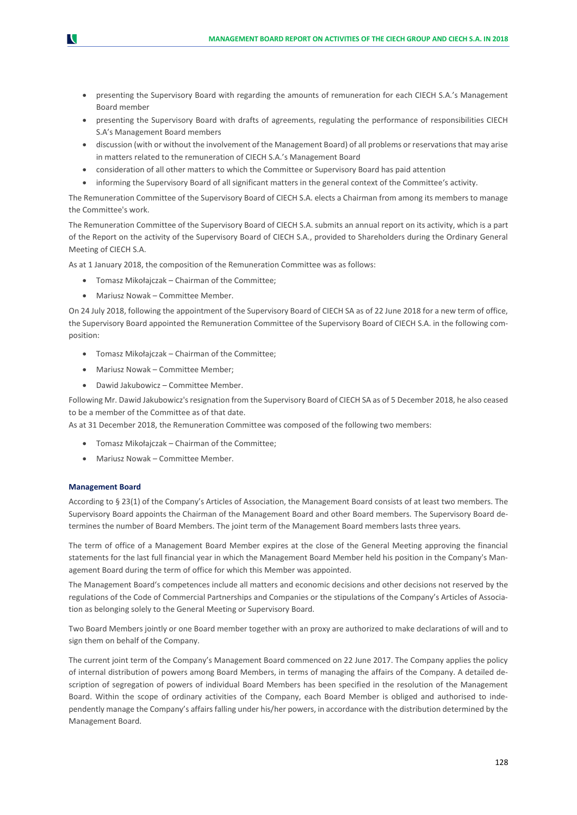- presenting the Supervisory Board with regarding the amounts of remuneration for each CIECH S.A.'s Management Board member
- presenting the Supervisory Board with drafts of agreements, regulating the performance of responsibilities CIECH S.A's Management Board members
- discussion (with or without the involvement of the Management Board) of all problems or reservations that may arise in matters related to the remuneration of CIECH S.A.'s Management Board
- consideration of all other matters to which the Committee or Supervisory Board has paid attention
- informing the Supervisory Board of all significant matters in the general context of the Committee's activity.

The Remuneration Committee of the Supervisory Board of CIECH S.A. elects a Chairman from among its members to manage the Committee's work.

The Remuneration Committee of the Supervisory Board of CIECH S.A. submits an annual report on its activity, which is a part of the Report on the activity of the Supervisory Board of CIECH S.A., provided to Shareholders during the Ordinary General Meeting of CIECH S.A.

As at 1 January 2018, the composition of the Remuneration Committee was as follows:

- Tomasz Mikołajczak Chairman of the Committee;
- Mariusz Nowak Committee Member.

On 24 July 2018, following the appointment of the Supervisory Board of CIECH SA as of 22 June 2018 for a new term of office, the Supervisory Board appointed the Remuneration Committee of the Supervisory Board of CIECH S.A. in the following composition:

- Tomasz Mikołajczak Chairman of the Committee;
- Mariusz Nowak Committee Member;
- Dawid Jakubowicz Committee Member.

Following Mr. Dawid Jakubowicz's resignation from the Supervisory Board of CIECH SA as of 5 December 2018, he also ceased to be a member of the Committee as of that date.

As at 31 December 2018, the Remuneration Committee was composed of the following two members:

- Tomasz Mikołajczak Chairman of the Committee;
- Mariusz Nowak Committee Member.

#### **Management Board**

According to § 23(1) of the Company's Articles of Association, the Management Board consists of at least two members. The Supervisory Board appoints the Chairman of the Management Board and other Board members. The Supervisory Board determines the number of Board Members. The joint term of the Management Board members lasts three years.

The term of office of a Management Board Member expires at the close of the General Meeting approving the financial statements for the last full financial year in which the Management Board Member held his position in the Company's Management Board during the term of office for which this Member was appointed.

The Management Board's competences include all matters and economic decisions and other decisions not reserved by the regulations of the Code of Commercial Partnerships and Companies or the stipulations of the Company's Articles of Association as belonging solely to the General Meeting or Supervisory Board.

Two Board Members jointly or one Board member together with an proxy are authorized to make declarations of will and to sign them on behalf of the Company.

The current joint term of the Company's Management Board commenced on 22 June 2017. The Company applies the policy of internal distribution of powers among Board Members, in terms of managing the affairs of the Company. A detailed description of segregation of powers of individual Board Members has been specified in the resolution of the Management Board. Within the scope of ordinary activities of the Company, each Board Member is obliged and authorised to independently manage the Company's affairs falling under his/her powers, in accordance with the distribution determined by the Management Board.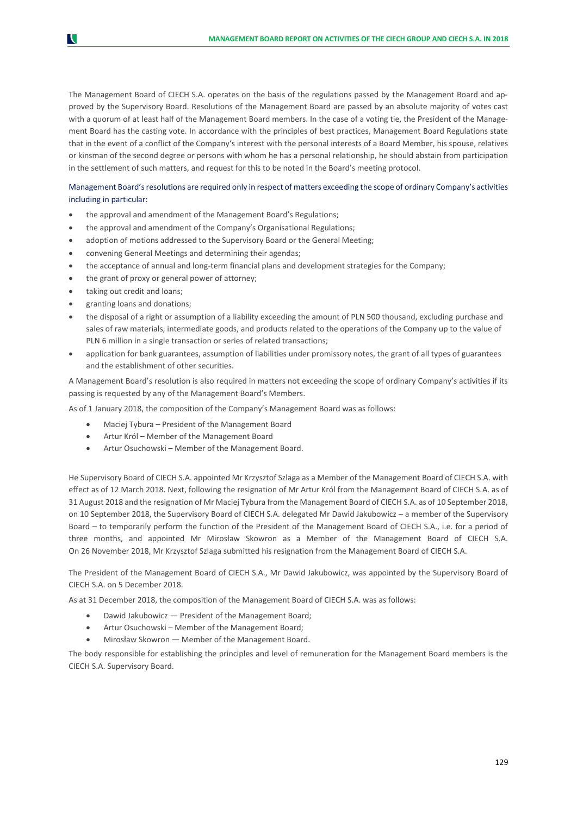The Management Board of CIECH S.A. operates on the basis of the regulations passed by the Management Board and approved by the Supervisory Board. Resolutions of the Management Board are passed by an absolute majority of votes cast with a quorum of at least half of the Management Board members. In the case of a voting tie, the President of the Management Board has the casting vote. In accordance with the principles of best practices, Management Board Regulations state that in the event of a conflict of the Company's interest with the personal interests of a Board Member, his spouse, relatives or kinsman of the second degree or persons with whom he has a personal relationship, he should abstain from participation in the settlement of such matters, and request for this to be noted in the Board's meeting protocol.

### Management Board's resolutions are required only in respect of matters exceeding the scope of ordinary Company's activities including in particular:

- the approval and amendment of the Management Board's Regulations;
- the approval and amendment of the Company's Organisational Regulations;
- adoption of motions addressed to the Supervisory Board or the General Meeting;
- convening General Meetings and determining their agendas;
- the acceptance of annual and long-term financial plans and development strategies for the Company;
- the grant of proxy or general power of attorney;
- taking out credit and loans;

N

- granting loans and donations;
- the disposal of a right or assumption of a liability exceeding the amount of PLN 500 thousand, excluding purchase and sales of raw materials, intermediate goods, and products related to the operations of the Company up to the value of PLN 6 million in a single transaction or series of related transactions;
- application for bank guarantees, assumption of liabilities under promissory notes, the grant of all types of guarantees and the establishment of other securities.

A Management Board's resolution is also required in matters not exceeding the scope of ordinary Company's activities if its passing is requested by any of the Management Board's Members.

As of 1 January 2018, the composition of the Company's Management Board was as follows:

- Maciej Tybura President of the Management Board
- Artur Król Member of the Management Board
- Artur Osuchowski Member of the Management Board.

He Supervisory Board of CIECH S.A. appointed Mr Krzysztof Szlaga as a Member of the Management Board of CIECH S.A. with effect as of 12 March 2018. Next, following the resignation of Mr Artur Król from the Management Board of CIECH S.A. as of 31 August 2018 and the resignation of Mr Maciej Tybura from the Management Board of CIECH S.A. as of 10 September 2018, on 10 September 2018, the Supervisory Board of CIECH S.A. delegated Mr Dawid Jakubowicz – a member of the Supervisory Board – to temporarily perform the function of the President of the Management Board of CIECH S.A., i.e. for a period of three months, and appointed Mr Mirosław Skowron as a Member of the Management Board of CIECH S.A. On 26 November 2018, Mr Krzysztof Szlaga submitted his resignation from the Management Board of CIECH S.A.

The President of the Management Board of CIECH S.A., Mr Dawid Jakubowicz, was appointed by the Supervisory Board of CIECH S.A. on 5 December 2018.

As at 31 December 2018, the composition of the Management Board of CIECH S.A. was as follows:

- Dawid Jakubowicz President of the Management Board;
- Artur Osuchowski Member of the Management Board;
- Mirosław Skowron Member of the Management Board.

The body responsible for establishing the principles and level of remuneration for the Management Board members is the CIECH S.A. Supervisory Board.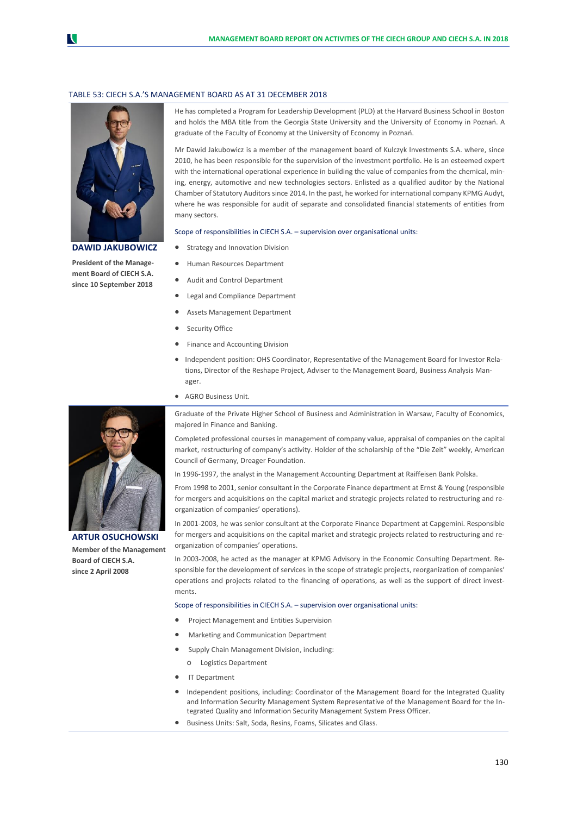#### TABLE 53: CIECH S.A.'S MANAGEMENT BOARD AS AT 31 DECEMBER 2018



**DAWID JAKUBOWICZ**

**President of the Management Board of CIECH S.A. since 10 September 2018**

He has completed a Program for Leadership Development (PLD) at the Harvard Business School in Boston and holds the MBA title from the Georgia State University and the University of Economy in Poznań. A graduate of the Faculty of Economy at the University of Economy in Poznań.

Mr Dawid Jakubowicz is a member of the management board of Kulczyk Investments S.A. where, since 2010, he has been responsible for the supervision of the investment portfolio. He is an esteemed expert with the international operational experience in building the value of companies from the chemical, mining, energy, automotive and new technologies sectors. Enlisted as a qualified auditor by the National Chamber of Statutory Auditors since 2014. In the past, he worked for international company KPMG Audyt, where he was responsible for audit of separate and consolidated financial statements of entities from many sectors.

Scope of responsibilities in CIECH S.A. – supervision over organisational units:

- Strategy and Innovation Division
- Human Resources Department
- Audit and Control Department
- Legal and Compliance Department
- Assets Management Department
- Security Office
- Finance and Accounting Division
- Independent position: OHS Coordinator, Representative of the Management Board for Investor Relations, Director of the Reshape Project, Adviser to the Management Board, Business Analysis Manager.
- AGRO Business Unit.

Graduate of the Private Higher School of Business and Administration in Warsaw, Faculty of Economics, majored in Finance and Banking.

Completed professional courses in management of company value, appraisal of companies on the capital market, restructuring of company's activity. Holder of the scholarship of the "Die Zeit" weekly, American Council of Germany, Dreager Foundation.

In 1996-1997, the analyst in the Management Accounting Department at Raiffeisen Bank Polska.

From 1998 to 2001, senior consultant in the Corporate Finance department at Ernst & Young (responsible for mergers and acquisitions on the capital market and strategic projects related to restructuring and reorganization of companies' operations).

In 2001-2003, he was senior consultant at the Corporate Finance Department at Capgemini. Responsible for mergers and acquisitions on the capital market and strategic projects related to restructuring and reorganization of companies' operations.

In 2003-2008, he acted as the manager at KPMG Advisory in the Economic Consulting Department. Responsible for the development of services in the scope of strategic projects, reorganization of companies' operations and projects related to the financing of operations, as well as the support of direct investments.

#### Scope of responsibilities in CIECH S.A. – supervision over organisational units:

- Project Management and Entities Supervision
- Marketing and Communication Department
- Supply Chain Management Division, including:
	- o Logistics Department
- IT Department
- Independent positions, including: Coordinator of the Management Board for the Integrated Quality and Information Security Management System Representative of the Management Board for the Integrated Quality and Information Security Management System Press Officer.
- Business Units: Salt, Soda, Resins, Foams, Silicates and Glass.



**ARTUR OSUCHOWSKI Member of the Management Board of CIECH S.A. since 2 April 2008**